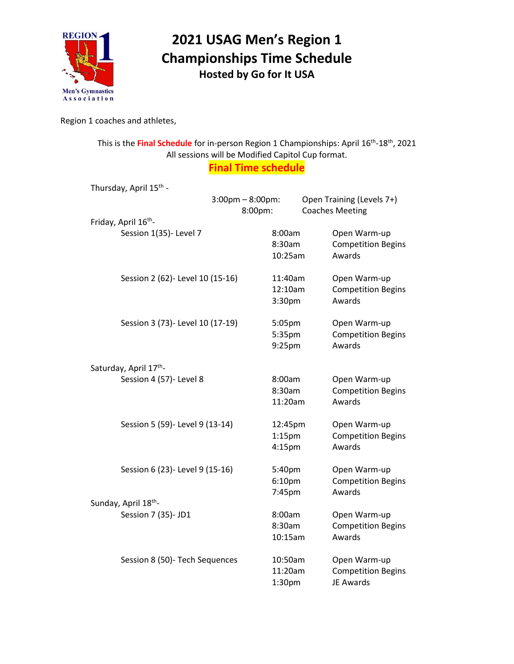

## **2021 USAG Men's Region 1 Championships Time Schedule Hosted by Go for It USA**

Region 1 coaches and athletes,

This is the Final Schedule for in-person Region 1 Championships: April 16<sup>th</sup>-18<sup>th</sup>, 2021 All sessions will be Modified Capitol Cup format. **Final Time schedule**

Thursday, April 15<sup>th</sup> -3:00pm – 8:00pm: Open Training (Levels 7+) 8:00pm: Coaches Meeting Friday, April 16<sup>th</sup>-Session 1(35)- Level 7 8:00am Open Warm-up 8:30am Competition Begins 10:25am Awards Session 2 (62)- Level 10 (15-16) 11:40am Open Warm-up 12:10am Competition Begins 3:30pm Awards Session 3 (73)- Level 10 (17-19) 5:05pm Open Warm-up 5:35pm Competition Begins 9:25pm Awards Saturday, April 17<sup>th</sup>-Session 4 (57)- Level 8 8:00am Open Warm-up 8:30am Competition Begins 11:20am Awards Session 5 (59)- Level 9 (13-14) 12:45pm Open Warm-up 1:15pm Competition Begins 4:15pm Awards Session 6 (23)- Level 9 (15-16) 5:40pm Open Warm-up 6:10pm Competition Begins 7:45pm Awards Sunday, April 18<sup>th</sup>-Session 7 (35)- JD1 8:00am Open Warm-up 8:30am Competition Begins 10:15am Awards Session 8 (50)- Tech Sequences 10:50am Open Warm-up 11:20am Competition Begins 1:30pm JE Awards